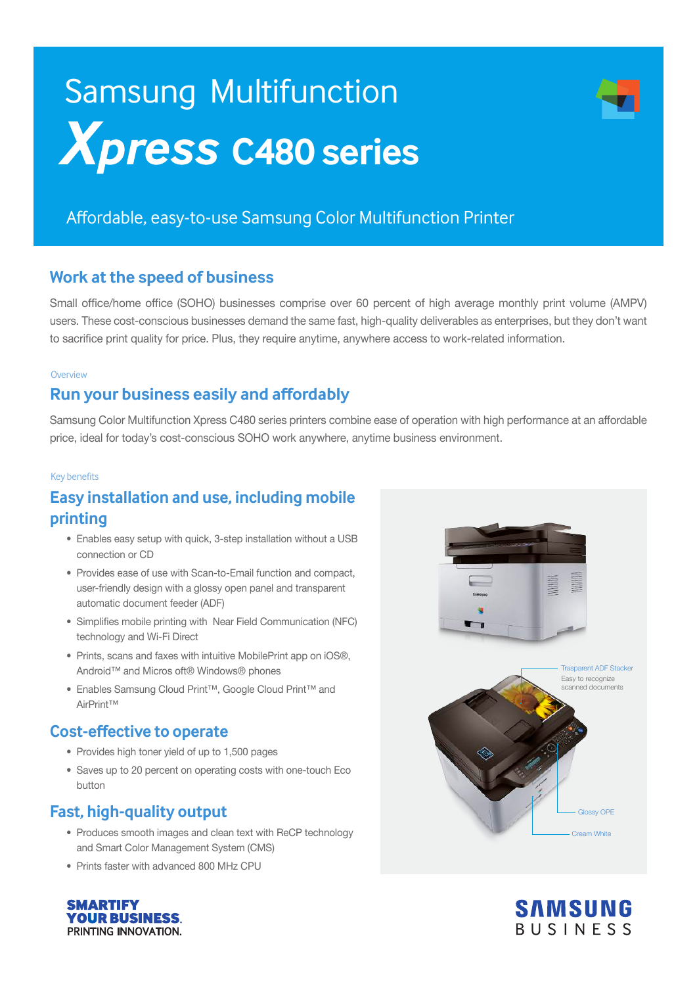# **Xpress C480 series** Samsung Multifunction

# Affordable, easy-to-use Samsung Color Multifunction Printer

#### **Work at the speed of business**

Small office/home office (SOHO) businesses comprise over 60 percent of high average monthly print volume (AMPV) users. These cost-conscious businesses demand the same fast, high-quality deliverables as enterprises, but they don't want to sacrifice print quality for price. Plus, they require anytime, anywhere access to work-related information.

#### **Overview**

#### **Run your business easily and affordably**

Samsung Color Multifunction Xpress C480 series printers combine ease of operation with high performance at an affordable price, ideal for today's cost-conscious SOHO work anywhere, anytime business environment.

#### Key benefits

## **Easy installation and use, including mobile printing**

- Enables easy setup with quick, 3-step installation without a USB connection or CD
- Provides ease of use with Scan-to-Email function and compact, user-friendly design with a glossy open panel and transparent automatic document feeder (ADF)
- Simplifies mobile printing with Near Field Communication (NFC) technology and Wi-Fi Direct
- Prints, scans and faxes with intuitive MobilePrint app on iOS®, Android™ and Micros oft® Windows® phones
- Enables Samsung Cloud Print™, Google Cloud Print™ and AirPrint™

#### **Cost-effective to operate**

- Provides high toner yield of up to 1,500 pages
- Saves up to 20 percent on operating costs with one-touch Eco button

#### **Fast, high-quality output**

- Produces smooth images and clean text with ReCP technology and Smart Color Management System (CMS)
- Prints faster with advanced 800 MHz CPU